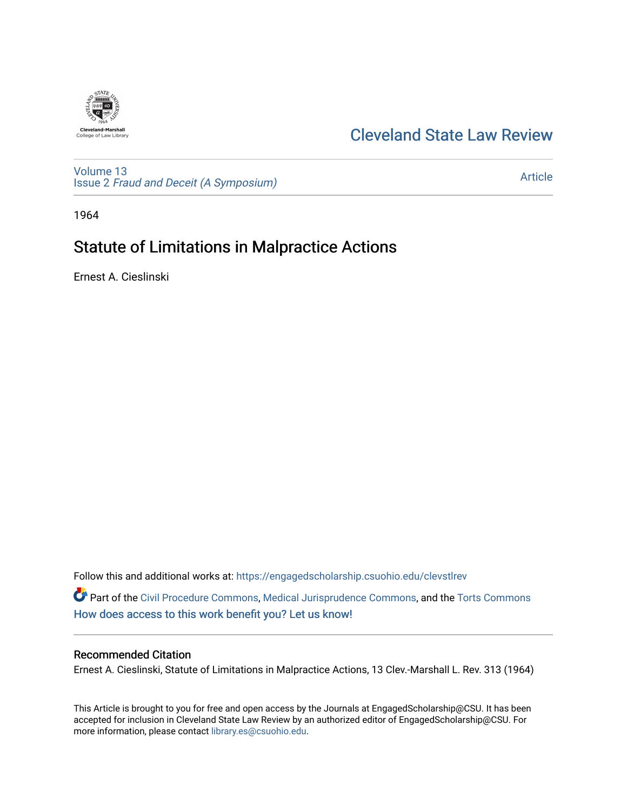

## [Cleveland State Law Review](https://engagedscholarship.csuohio.edu/clevstlrev)

[Volume 13](https://engagedscholarship.csuohio.edu/clevstlrev/vol13) Issue 2 [Fraud and Deceit \(A Symposium\)](https://engagedscholarship.csuohio.edu/clevstlrev/vol13/iss2)

[Article](https://engagedscholarship.csuohio.edu/clevstlrev/vol13/iss2/14) 

1964

# Statute of Limitations in Malpractice Actions

Ernest A. Cieslinski

Follow this and additional works at: [https://engagedscholarship.csuohio.edu/clevstlrev](https://engagedscholarship.csuohio.edu/clevstlrev?utm_source=engagedscholarship.csuohio.edu%2Fclevstlrev%2Fvol13%2Fiss2%2F14&utm_medium=PDF&utm_campaign=PDFCoverPages)

Part of the [Civil Procedure Commons,](http://network.bepress.com/hgg/discipline/584?utm_source=engagedscholarship.csuohio.edu%2Fclevstlrev%2Fvol13%2Fiss2%2F14&utm_medium=PDF&utm_campaign=PDFCoverPages) [Medical Jurisprudence Commons,](http://network.bepress.com/hgg/discipline/860?utm_source=engagedscholarship.csuohio.edu%2Fclevstlrev%2Fvol13%2Fiss2%2F14&utm_medium=PDF&utm_campaign=PDFCoverPages) and the [Torts Commons](http://network.bepress.com/hgg/discipline/913?utm_source=engagedscholarship.csuohio.edu%2Fclevstlrev%2Fvol13%2Fiss2%2F14&utm_medium=PDF&utm_campaign=PDFCoverPages)  [How does access to this work benefit you? Let us know!](http://library.csuohio.edu/engaged/)

### Recommended Citation

Ernest A. Cieslinski, Statute of Limitations in Malpractice Actions, 13 Clev.-Marshall L. Rev. 313 (1964)

This Article is brought to you for free and open access by the Journals at EngagedScholarship@CSU. It has been accepted for inclusion in Cleveland State Law Review by an authorized editor of EngagedScholarship@CSU. For more information, please contact [library.es@csuohio.edu](mailto:library.es@csuohio.edu).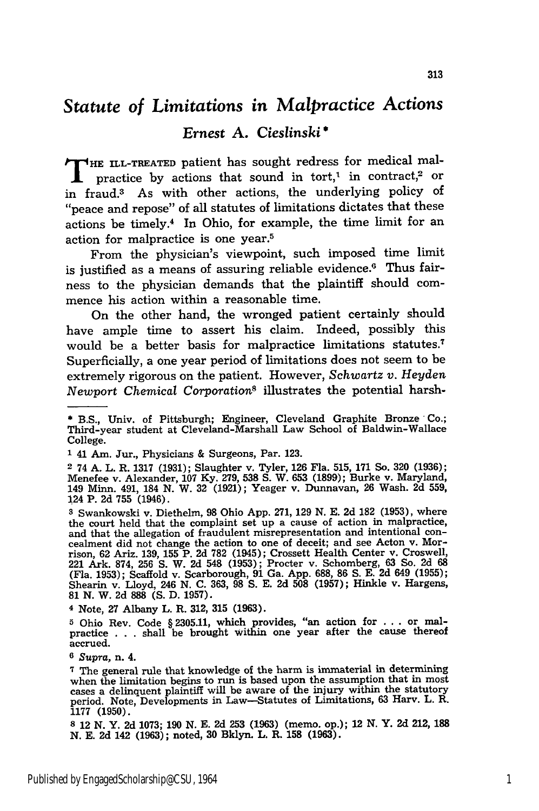## *Statute of Limitations in Malpractice Actions*

### *Ernest* **A.** *Cieslinski* **\***

**T HE ILL-TREATED** patient has sought redress for medical malpractice by actions that sound in tort,<sup>1</sup> in contract,<sup>2</sup> or in fraud.3 As with other actions, the underlying policy of "peace and repose" of all statutes of limitations dictates that these actions be timely.4 In Ohio, for example, the time limit for an action for malpractice is one year.5

From the physician's viewpoint, such imposed time limit is justified as a means of assuring reliable evidence.<sup>6</sup> Thus fairness to the physician demands that the plaintiff should commence his action within a reasonable time.

On the other hand, the wronged patient certainly should have ample time to assert his claim. Indeed, possibly this would be a better basis for malpractice limitations statutes.7 Superficially, a one year period of limitations does not seem to be extremely rigorous on the patient. However, *Schwartz v. Heyden* Newport *Chemical Corporation*<sup>8</sup> illustrates the potential harsh-

2 74 **A.** L. R. **1317 (1931);** Slaughter v. Tyler, **126** Fla. **515, 171** So. **320 (1936);** Menefee v. Alexander, **107 Ky. 279, 538 S.** W. **653 (1899);** Burke v. Maryland, 149 Minn. 491, 184 **N.** W. **32 (1921);** Yeager v. Dunnavan, **26** Wash. **2d 559,** 124 P. **2d 755** (1946).

4 Note, **27** Albany L. R. **312, 315 (1963).**

<sup>\*</sup> B.S., Univ. of Pittsburgh; Engineer, Cleveland Graphite Bronze Co.; Third-year student at Cleveland-Marshall Law School of Baldwin-Wallace College.

**<sup>1</sup>** 41 Am. Jur., Physicians **&** Surgeons, Par. **123.**

**<sup>3</sup>** Swankowski v. Diethelm, **98** Ohio **App. 271, 129 N. E. 2d 182 (1953),** where the court held that the complaint set up a cause of action in malpractice and that the allegation of fraudulent misrepresentation and intentional concealment did not change the action to one of deceit; and see Acton v. Morrison, 62 Ariz. 139, 155 P. 2d 782 (1945); Crossett Health Center v. Croswell 221 Ark. 874, 256 S. W. 2d 548 (1953); Procter v. Schomberg, 63 So. 2d (Fla. **1953);** Scaffold v. Scarborough, **91** Ga. **App. 688, 86 S. E. 2d** 649 **(1955);** Shearin v. Lloyd, 246 **N. C. 363, 98 S. E. 2d 508 (1957);** Hinkle v. Hargens, **81 N.** W. **2d 888 (S. D. 1957).**

**<sup>5</sup>** Ohio Rev. Code § **2305.11,** which provides, "an action for **...** or mal-practice **. . .** shall be brought within one year after the cause thereof accrued.

**<sup>6</sup>***Supra,* n. 4.

**<sup>7</sup>** The general rule that knowledge of the harm is immaterial in determining when the limitation begins to run is based upon the assumption that in most cases a delinquent plaintiff will be aware of the injury within the statutory period. Note, Developments in Law-Statutes of Limitations, **63** Harv. L. R. **1177 (1950).**

**<sup>8</sup>** 12 **N.** Y. **2d 1073; 190 N. E. 2d 253 (1963)** (memo. op.); 12 **N.** Y. **2d** 212, **188 N. E. 2d** 142 **(1963);** noted, **30** Bklyn. L. R. **158 (1963).**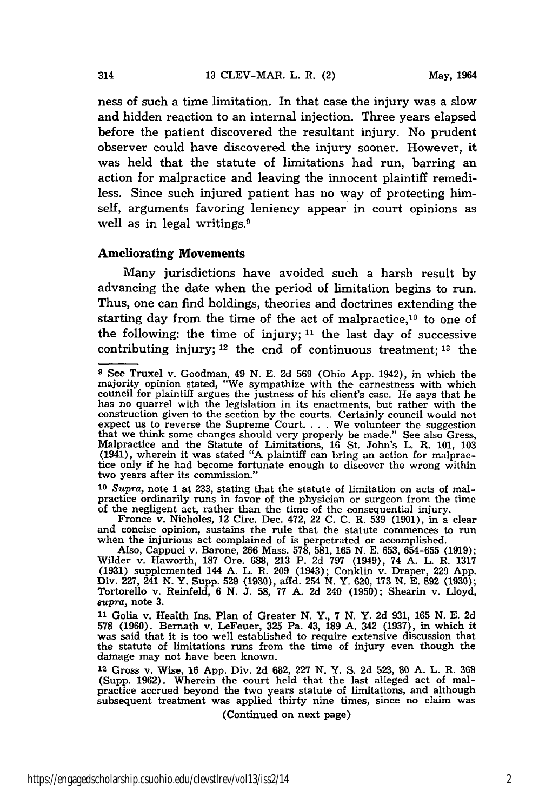ness of such a time limitation. In that case the injury was a slow and hidden reaction to an internal injection. Three years elapsed before the patient discovered the resultant injury. No prudent observer could have discovered the injury sooner. However, it was held that the statute of limitations had run, barring an action for malpractice and leaving the innocent plaintiff remediless. Since such injured patient has no way of protecting himself, arguments favoring leniency appear in court opinions as well as in legal writings.<sup>9</sup>

#### Ameliorating Movements

Many jurisdictions have avoided such a harsh result by advancing the date when the period of limitation begins to run. Thus, one can find holdings, theories and doctrines extending the starting day from the time of the act of malpractice, $10$  to one of the following: the time of injury; **11** the last day of successive contributing injury; 12 the end of continuous treatment; **13** the

**10** *Supra,* note 1 at 233, stating that the statute of limitation on acts of malpractice ordinarily runs in favor of the physician or surgeon from the time of the negligent act, rather than the time of the consequential injury.

Fronce v. Nicholes, 12 Circ. Dec. 472, 22 **C. C.** R. **539 (1901),** in a clear and concise opinion, sustains the rule that the statute commences to run when the injurious act complained of is perpetrated or accomplished.

Also, Cappuci v. Barone, **266** Mass. **578, 581, 165 N. E. 653, 654-655 (1919);** Wilder v. Haworth, 187 Ore. 688, 213 P. 2d 797 (1949), 74 A. L. R. 1317<br>(1931) supplemented 144 A. L. R. 209 (1943); Conklin v. Draper, 229 App<br>Div. 227, 241 N. Y. Supp. 529 (1930), affd. 254 N. Y. 620, 173 N. E. 892 (1930 Tortorello v. Reinfeld, **6 N. J. 58, 77 A. 2d** 240 **(1950);** Shearin v. Lloyd, *supra,* note **3.**

**<sup>11</sup>**Golia v. Health Ins. Plan of Greater N. Y., 7 N. Y. 2d 931, 165 N. E. 2d **<sup>578</sup>**(1960). Bernath v. LeFeuer, **325** Pa. 43, 189 A. 342 (1937), in which it was said that it is too well established to require extensive discussion that the statute of limitations runs from the time of injury even though the damage may not have been known.

**<sup>12</sup>**Gross v. Wise, 16 App. Div. 2d 682, 227 N. Y. S. 2d 523, 80 A. L. R. 368 (Supp. 1962). Wherein the court held that the last alleged act of malpractice accrued beyond the two years statute of limitations, and although subsequent treatment was applied thirty nine times, since no claim was

(Continued on next page)

<sup>&</sup>lt;sup>9</sup> See Truxel v. Goodman, 49 N. E. 2d 569 (Ohio App. 1942), in which the majority opinion stated, "We sympathize with the earnestness with which council for plaintiff argues the justness of his client's case. He says tha has no quarrel with the legislation in its enactments, but rather with the construction given to the section by the courts. Certainly council would not expect us to reverse the Supreme Court. . . . We volunteer the suggestion that we think some changes should very properly be made." See also Gress, Malpractice and the Statute of Limitations, 16 St. John's L. R. 101, 103 (1941), wherein it was stated "A plaintiff can bring an action for malpractice only if he had become fortunate enough to discover the wrong within two years after its commission."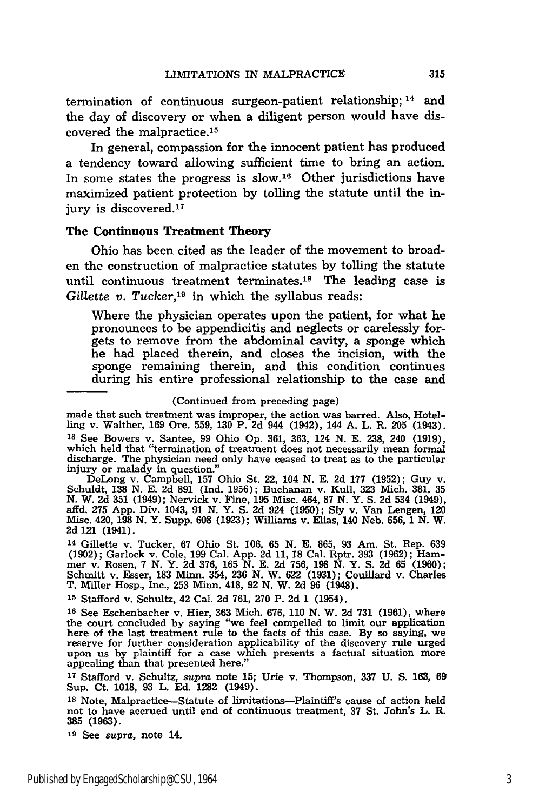termination of continuous surgeon-patient relationship; 14 and the day of discovery or when a diligent person would have discovered the malpractice. <sup>15</sup>

In general, compassion for the innocent patient has produced a tendency toward allowing sufficient time to bring an action. In some states the progress is slow.<sup>16</sup> Other jurisdictions have maximized patient protection by tolling the statute until the injury is discovered.<sup>17</sup>

### The **Continuous Treatment Theory**

Ohio has been cited as the leader of the movement to broaden the construction of malpractice statutes **by** tolling the statute until continuous treatment terminates.<sup>18</sup> The leading case is *Gillette v. Tucker,19* in which the syllabus reads:

Where the physician operates upon the patient, for what he pronounces to be appendicitis and neglects or carelessly forgets to remove from the abdominal cavity, a sponge which he had placed therein, and closes the incision, with the sponge remaining therein, and this condition continues during his entire professional relationship to the case and

#### (Continued from preceding page)

made that such treatment was improper, the action was barred. Also, Hotelling v. Walther, 169 Ore. 559, **130** P. **2d** 944 (1942), 144 A. L. R. **205** (1943). **<sup>13</sup>**See Bowers v. Santee, 99 Ohio Op. 361, 363, 124 N. E. **238,** 240 (1919), which held that "termination of treatment does not necessarily mean formal discharge. The physician need only have ceased to treat as to the particular injury or malady in question."

DeLong v. Čampbell, 157 Ohio St. 22, 104 N. E. 2d 177 (1952); Guy v. Schuldt, 138 N. E. 2d 891 (Ind. 1956); Buchanan v. Kull, 323 Mich. 381, 35<br>N. W. 2d 351 (1949); Nervick v. Fine, 195 Misc. 464, 87 N. Y. S. 2d 534 (1949) affd. 275 App. Div. 1043, 91 **N.** Y. S. **2d** 924 **(1950);** Sly v. Van Lengen, 120 Misc. 420, **198** N. Y. Supp. **608** (1923); Williams v. Elias, 140 Neb. 656, 1 N. W. **2d** 121 (1941).

**<sup>14</sup>**Gillette v. Tucker, **67** Ohio St. **106, 65 N. E. 865, 93** Am. St. Rep. **639 (1902);** Garlock v. Cole, **199** Cal. **App. 2d 11, 18** Cal. Rptr. **393 (1962);** Ham- mer v. Rosen, **7 N.** Y. **2d 376, 165 N. E. 2d 756, 198 N.** Y. **S. 2d 65 (1960);** Schmitt v. Esser, **183** Minn. 354, **236 N.** W. **622 (1931);** Couillard v. Charles T. Miller Hosp., Inc., **253 Minn.** 418, **92 N.** W. **2d 96** (1948).

**<sup>15</sup>**Stafford v. Schultz, 42 Cal. **2d 761, 270** P. **2d 1** (1954).

**<sup>16</sup>**See Eschenbacher v. Hier, **363** Mich. **676, 110 N.** W. **2d 731 (1961),** where the court concluded by saying "we feel compelled to limit our application<br>here of the last treatment rule to the facts of this case. By so saying, we<br>reserve for further consideration applicability of the discovery rule ur reserve for further consideration applicability of the discovery rule urged upon us by plaintiff for a case which presents a factual situation more appealing than that presented here."

**<sup>17</sup>**Stafford v. Schultz, *supra* note **15;** Urie v. Thompson, **337 U. S. 163, 69** Sup. Ct. **1018, 93** L. **Ed. 1282** (1949).

**<sup>18</sup>**Note, Malpractice-Statute of limitations-Plaintiff's cause of action held not to have accrued until end of continuous treatment, **37** St. John's L. R. **385 (1963).**

**<sup>19</sup>**See *supra,* note 14.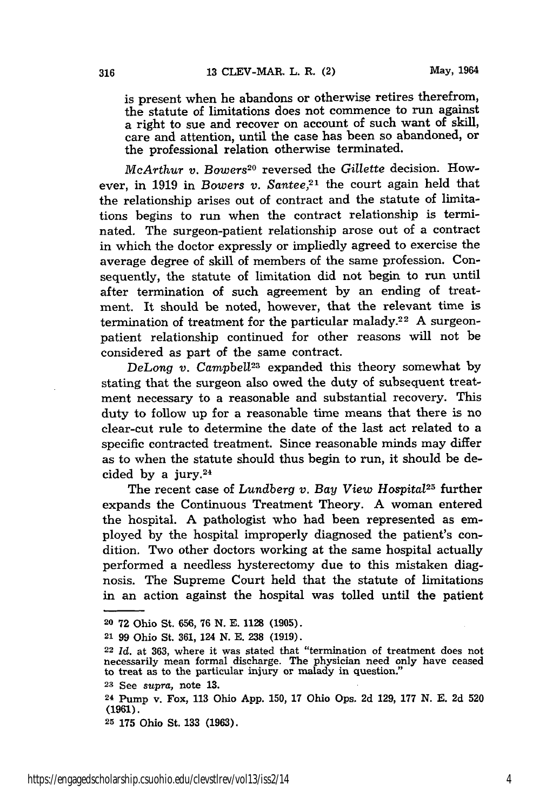is present when he abandons or otherwise retires therefrom, the statute of limitations does not commence to run against a right to sue and recover on account of such want of skill, care and attention, until the case has been so abandoned, or the professional relation otherwise terminated.

*McArthur v. Bowers20* reversed the *Gillette* decision. However, in 1919 in *Bowers v. Santee*,<sup>21</sup> the court again held that the relationship arises out of contract and the statute of limitations begins to run when the contract relationship is terminated. The surgeon-patient relationship arose out of a contract in which the doctor expressly or impliedly agreed to exercise the average degree of skill of members of the same profession. Consequently, the statute of limitation did not begin to run until after termination of such agreement by an ending of treatment. It should be noted, however, that the relevant time is termination of treatment for the particular malady.<sup>22</sup> A surgeonpatient relationship continued for other reasons will not be considered as part of the same contract.

DeLong v. Campbell<sup>23</sup> expanded this theory somewhat by stating that the surgeon also owed the duty of subsequent treatment necessary to a reasonable and substantial recovery. This duty to follow up for a reasonable time means that there is no clear-cut rule to determine the date of the last act related to a specific contracted treatment. Since reasonable minds may differ as to when the statute should thus begin to run, it should be decided by a jury. $24$ 

The recent case of *Lundberg v. Bay View Hospital25* further expands the Continuous Treatment Theory. A woman entered the hospital. A pathologist who had been represented as employed by the hospital improperly diagnosed the patient's condition. Two other doctors working at the same hospital actually performed a needless hysterectomy due to this mistaken diagnosis. The Supreme Court held that the statute of limitations in an action against the hospital was tolled until the patient

- **20 72** Ohio St. **656, 76 N. E.** 1128 **(1905).**
- **21 99** Ohio St. 361, 124 **N. E. 238 (1919).**
- **<sup>22</sup>***Id.* at **363,** where it was stated that "termination of treatment does not necessarily mean formal discharge. The physician need only have ceased to treat as to the particular injury or malady in question."
- **<sup>23</sup>**See *supra,* note **13.**

**25 175** Ohio St. 133 (1963).

**<sup>24</sup>**Pump v. Fox, **113** Ohio App. 150, 17 Ohio Ops. 2d 129, **177 N.** E. 2d **520 (1961).**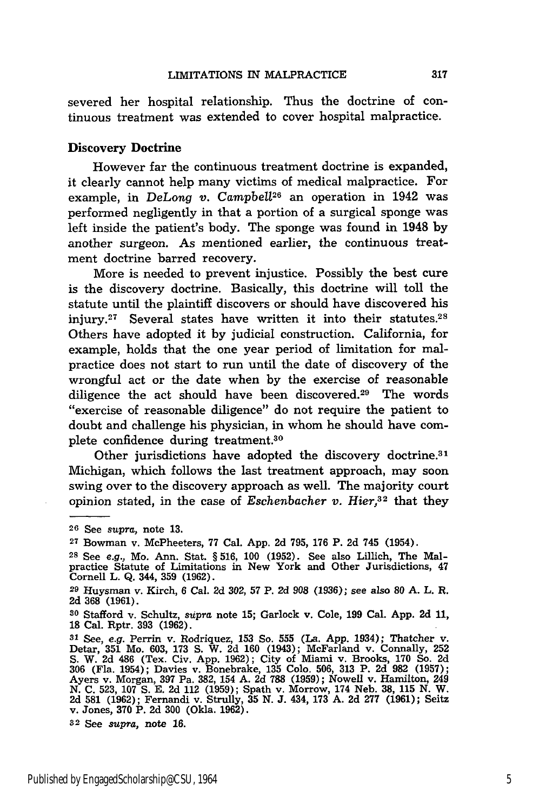severed her hospital relationship. Thus the doctrine of continuous treatment was extended to cover hospital malpractice.

### Discovery Doctrine

However far the continuous treatment doctrine is expanded, it clearly cannot help many victims of medical malpractice. For example, in *DeLong v. Campbell26* an operation in 1942 was performed negligently in that a portion of a surgical sponge was left inside the patient's body. The sponge was found in 1948 by another surgeon. As mentioned earlier, the continuous treatment doctrine barred recovery.

More is needed to prevent injustice. Possibly the best cure is the discovery doctrine. Basically, this doctrine will toll the statute until the plaintiff discovers or should have discovered his injury.<sup>27</sup> Several states have written it into their statutes.<sup>28</sup> Others have adopted it by judicial construction. California, for example, holds that the one year period of limitation for malpractice does not start to run until the date of discovery of the wrongful act or the date when by the exercise of reasonable diligence the act should have been discovered.<sup>29</sup> The words "exercise of reasonable diligence" do not require the patient to doubt and challenge his physician, in whom he should have complete confidence during treatment.<sup>30</sup>

Other jurisdictions have adopted the discovery doctrine.<sup>31</sup> Michigan, which follows the last treatment approach, may soon swing over to the discovery approach as well. The majority court opinion stated, in the case of *Eschenbacher v. Hier*,<sup>32</sup> that they

**32** See *supra,* note **16.**

**<sup>26</sup>** See *supra,* note **13.**

**<sup>27</sup>**Bowman v. McPheeters, 77 Cal. App. **2d** 795, 176 P. 2d 745 (1954).

**<sup>28</sup>** See e.g., Mo. Ann. Stat. § 516, 100 (1952). See also Lillich, The Malpractice Statute of Limitations in New York and Other Jurisdictions, 47 Cornell L. Q. 344, **359** (1962).

**<sup>29</sup>**Huysman v. Kirch, 6 Cal. 2d 302, **57** P. 2d **908 (1936);** see also **80 A.** L. R. 2d **368** (1961).

**<sup>30</sup>**Stafford v. Schultz, *supra* note 15; Garlock v. Cole, 199 Cal. App. **2d** 11, **18** Cal. Rptr. **393** (1962).

**<sup>31</sup>**See, e.g. Perrin v. Rodriquez, **153** So. **555** (La. App. 1934); Thatcher v. Detar, **351** Mo. 603, 173 **S.** W. 2d **160** (1943); McFarland v. Connally, 252 S. W. 2d 486 (Tex. Civ. App. 1962); City of Miami v. Brooks, 170 So. 2d 306 (Fla. 1954); Davies v. Bonebrake, 135 Colo. 506, 313 P. 2d 982 (1957)<br>Ayers v. Morgan, 397 Pa. 382, 154 A. 2d 788 (1959); Nowell v. Hamilton, 249 N. C. 523, 107 S. E. 2d 112 (1959); Spath v. Morrow, 174 Neb. 38, 115 N. W.<br>2d 581 (1962); Fernandi v. Strully, 35 N. J. 434, 173 A. 2d 277 (1961); Seitz<br>v. Jones, 370 P. 2d 300 (Okla. 1962).